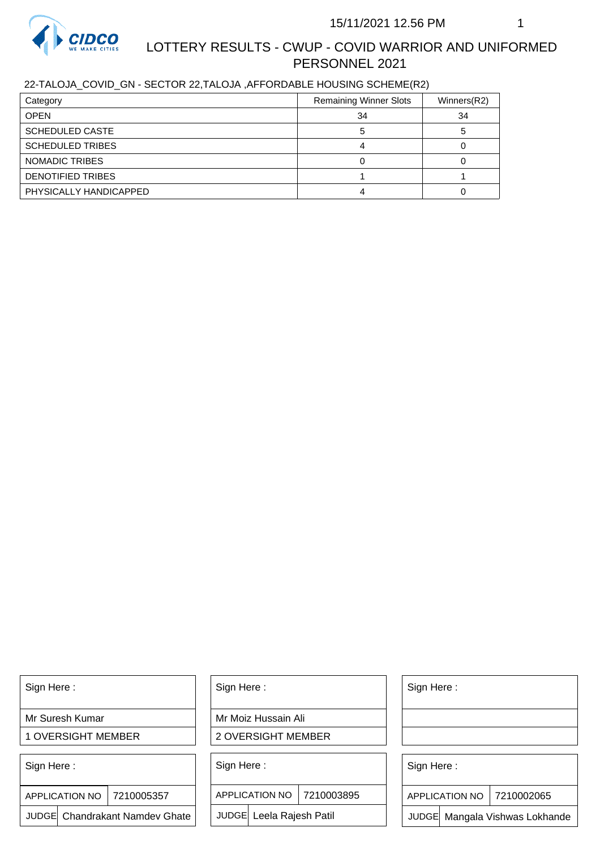

# LOTTERY RESULTS - CWUP - COVID WARRIOR AND UNIFORMED PERSONNEL 2021

## 22-TALOJA\_COVID\_GN - SECTOR 22,TALOJA ,AFFORDABLE HOUSING SCHEME(R2)

| Category                | <b>Remaining Winner Slots</b> | Winners(R2) |
|-------------------------|-------------------------------|-------------|
| <b>OPEN</b>             | 34                            | 34          |
| <b>SCHEDULED CASTE</b>  |                               |             |
| <b>SCHEDULED TRIBES</b> |                               |             |
| NOMADIC TRIBES          |                               |             |
| DENOTIFIED TRIBES       |                               |             |
| PHYSICALLY HANDICAPPED  |                               |             |

Sign Here :

Mr Suresh Kumar

1 OVERSIGHT MEMBER

Sign Here :

APPLICATION NO | 7210005357

JUDGE Chandrakant Namdev Ghate

Sign Here :

Mr Moiz Hussain Ali

2 OVERSIGHT MEMBER

Sign Here :

APPLICATION NO 7210003895

JUDGE Leela Rajesh Patil

Sign Here :

Sign Here :

APPLICATION NO | 7210002065

Chandrakant Namdev Ghate  $|\quad|$  JUDGE Leela Rajesh Patil  $|\quad|$  JUDGE Mangala Vishwas Lokhande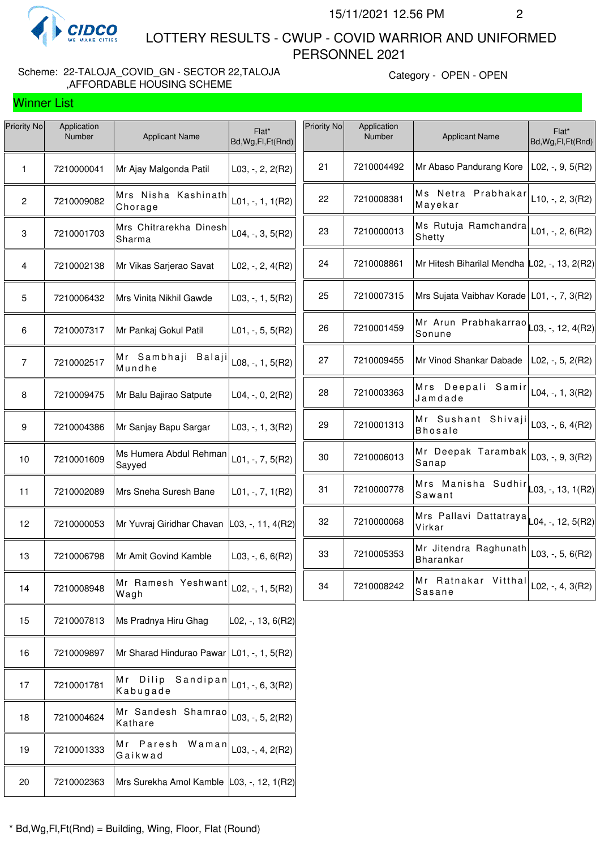

Winner List

 LOTTERY RESULTS - CWUP - COVID WARRIOR AND UNIFORMED PERSONNEL 2021

#### Scheme: 22-TALOJA\_COVID\_GN - SECTOR 22,TALOJA ,AFFORDABLE HOUSING SCHEME

Category - OPEN - OPEN

| Priority No    | Application<br>Number | <b>Applicant Name</b>                       | Flat*<br>Bd, Wg, Fl, Ft (Rnd) | Priority No | Application<br>Number | <b>Applicant Name</b>                                         | Flat*<br>Bd, Wg, Fl, Ft (Rnd) |
|----------------|-----------------------|---------------------------------------------|-------------------------------|-------------|-----------------------|---------------------------------------------------------------|-------------------------------|
| $\mathbf{1}$   | 7210000041            | Mr Ajay Malgonda Patil                      | $L03, -2, 2(R2)$              | 21          | 7210004492            | Mr Abaso Pandurang Kore                                       | $L02, -, 9, 5(R2)$            |
| $\mathbf{2}$   | 7210009082            | Mrs Nisha Kashinath<br>Chorage              | $L01, -, 1, 1(R2)$            | 22          | 7210008381            | Ms Netra Prabhakar<br>Mayekar                                 | $L10, -, 2, 3(R2)$            |
| 3              | 7210001703            | Mrs Chitrarekha Dinesh<br>Sharma            | $L04, -, 3, 5(R2)$            | 23          | 7210000013            | Ms Rutuja Ramchandra<br>Shetty                                | L01, $-$ , 2, 6(R2)           |
| 4              | 7210002138            | Mr Vikas Sarjerao Savat                     | $L02, -2, 4(R2)$              | 24          | 7210008861            | Mr Hitesh Biharilal Mendha L02, -, 13, 2(R2)                  |                               |
| 5              | 7210006432            | Mrs Vinita Nikhil Gawde                     | L03, $-$ , 1, 5(R2)           | 25          | 7210007315            | Mrs Sujata Vaibhav Korade   L01, -, 7, 3(R2)                  |                               |
| 6              | 7210007317            | Mr Pankaj Gokul Patil                       | $L01, -, 5, 5(R2)$            | 26          | 7210001459            | Mr Arun Prabhakarrao $\vert$ L03, -, 12, 4(R2)<br>Sonune      |                               |
| $\overline{7}$ | 7210002517            | Mr Sambhaji Balaji<br>Mundhe                | $L08, -, 1, 5(R2)$            | 27          | 7210009455            | Mr Vinod Shankar Dabade                                       | $L02, -, 5, 2(R2)$            |
| 8              | 7210009475            | Mr Balu Bajirao Satpute                     | $L04, -, 0, 2(R2)$            | 28          | 7210003363            | Mrs Deepali Samir<br>Jamdade                                  | L04, -, 1, 3(R2)              |
| 9              | 7210004386            | Mr Sanjay Bapu Sargar                       | $L03, -1, 3(R2)$              | 29          | 7210001313            | Mr Sushant Shivaji $\vert$ L03, -, 6, 4(R2)<br><b>Bhosale</b> |                               |
| 10             | 7210001609            | Ms Humera Abdul Rehman<br>Sayyed            | $L01, -7, 5(R2)$              | 30          | 7210006013            | Mr Deepak Tarambak<br>Sanap                                   | $L03, -, 9, 3(R2)$            |
| 11             | 7210002089            | Mrs Sneha Suresh Bane                       | $L01, -7, 1(R2)$              | 31          | 7210000778            | Mrs Manisha Sudhir<br>L03, -, 13, 1(R2)<br>Sawant             |                               |
| 12             | 7210000053            | Mr Yuvraj Giridhar Chavan                   | $ $ L03, -, 11, 4(R2)         | 32          | 7210000068            | Mrs Pallavi Dattatraya L04, -, 12, 5(R2)<br>Virkar            |                               |
| 13             | 7210006798            | Mr Amit Govind Kamble                       | $L03, -, 6, 6(R2)$            | 33          | 7210005353            | Mr Jitendra Raghunath<br><b>Bharankar</b>                     | $L03, -, 5, 6(R2)$            |
| 14             | 7210008948            | Mr Ramesh Yeshwant<br>Wagh                  | $L02, -, 1, 5(R2)$            | 34          | 7210008242            | Mr Ratnakar Vitthal<br><b>Sasane</b>                          | L02, -, 4, 3(R2)              |
| 15             | 7210007813            | Ms Pradnya Hiru Ghag                        | $\vert$ L02, -, 13, 6(R2)     |             |                       |                                                               |                               |
| 16             | 7210009897            | Mr Sharad Hindurao Pawar   L01, -, 1, 5(R2) |                               |             |                       |                                                               |                               |
| 17             | 7210001781            | Mr Dilip<br>Sandipan<br>Kabugade            | $L01, -, 6, 3(R2)$            |             |                       |                                                               |                               |
| 18             | 7210004624            | Mr Sandesh Shamrao<br>Kathare               | $L03, -, 5, 2(R2)$            |             |                       |                                                               |                               |
| 19             | 7210001333            | Mr Paresh<br>Waman<br>Gaikwad               | $L03, -, 4, 2(R2)$            |             |                       |                                                               |                               |
| 20             | 7210002363            | Mrs Surekha Amol Kamble L03, -, 12, 1(R2)   |                               |             |                       |                                                               |                               |
|                |                       |                                             |                               |             |                       |                                                               |                               |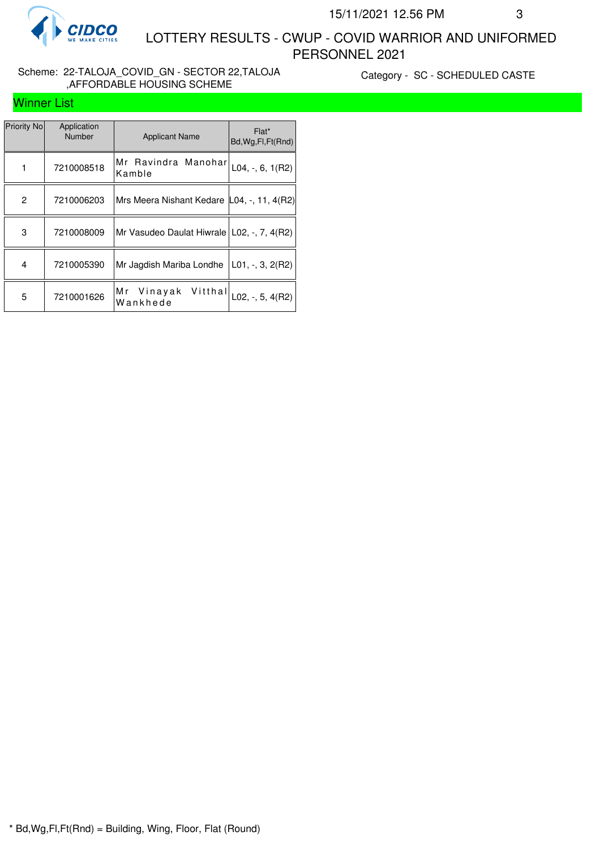

#### Scheme: 22-TALOJA\_COVID\_GN - SECTOR 22,TALOJA ,AFFORDABLE HOUSING SCHEME

Category - SC - SCHEDULED CASTE

## Winner List

| Priority No | Application<br><b>Number</b> | <b>Applicant Name</b>                                   | Flat*<br>Bd, Wg, Fl, Ft (Rnd) |
|-------------|------------------------------|---------------------------------------------------------|-------------------------------|
|             | 7210008518                   | Mr Ravindra Manohar<br>Kamble                           | L04, $-$ , 6, 1(R2)           |
| 2           | 7210006203                   | Mrs Meera Nishant Kedare L04, -, 11, 4(R2)              |                               |
| 3           | 7210008009                   | Mr Vasudeo Daulat Hiwrale   L02, -, 7, 4(R2)            |                               |
| 4           | 7210005390                   | Mr Jagdish Mariba Londhe                                | $L01, -3, 2(R2)$              |
| 5           | 7210001626                   | Mr Vinayak Vitthal $\vert$ L02, -, 5, 4(R2)<br>Wankhede |                               |